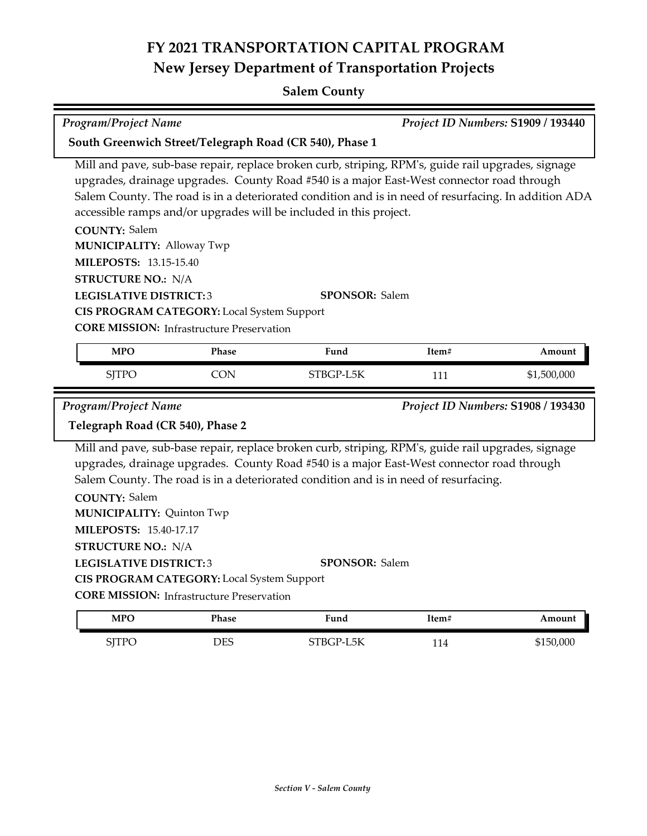# **FY 2021 TRANSPORTATION CAPITAL PROGRAM New Jersey Department of Transportation Projects**

#### **Salem County**

| Program/Project Name                                    |            |                                                                                                                                                                                                                                                                                                                                                                               |       | Project ID Numbers: S1909 / 193440 |  |
|---------------------------------------------------------|------------|-------------------------------------------------------------------------------------------------------------------------------------------------------------------------------------------------------------------------------------------------------------------------------------------------------------------------------------------------------------------------------|-------|------------------------------------|--|
| South Greenwich Street/Telegraph Road (CR 540), Phase 1 |            |                                                                                                                                                                                                                                                                                                                                                                               |       |                                    |  |
|                                                         |            | Mill and pave, sub-base repair, replace broken curb, striping, RPM's, guide rail upgrades, signage<br>upgrades, drainage upgrades. County Road #540 is a major East-West connector road through<br>Salem County. The road is in a deteriorated condition and is in need of resurfacing. In addition ADA<br>accessible ramps and/or upgrades will be included in this project. |       |                                    |  |
| <b>COUNTY: Salem</b>                                    |            |                                                                                                                                                                                                                                                                                                                                                                               |       |                                    |  |
| <b>MUNICIPALITY: Alloway Twp</b>                        |            |                                                                                                                                                                                                                                                                                                                                                                               |       |                                    |  |
| <b>MILEPOSTS: 13.15-15.40</b>                           |            |                                                                                                                                                                                                                                                                                                                                                                               |       |                                    |  |
| <b>STRUCTURE NO.: N/A</b>                               |            |                                                                                                                                                                                                                                                                                                                                                                               |       |                                    |  |
| <b>LEGISLATIVE DISTRICT:3</b><br><b>SPONSOR: Salem</b>  |            |                                                                                                                                                                                                                                                                                                                                                                               |       |                                    |  |
| CIS PROGRAM CATEGORY: Local System Support              |            |                                                                                                                                                                                                                                                                                                                                                                               |       |                                    |  |
| <b>CORE MISSION:</b> Infrastructure Preservation        |            |                                                                                                                                                                                                                                                                                                                                                                               |       |                                    |  |
| <b>MPO</b>                                              | Phase      | Fund                                                                                                                                                                                                                                                                                                                                                                          | Item# | Amount                             |  |
| <b>SJTPO</b>                                            | <b>CON</b> | STBGP-L5K                                                                                                                                                                                                                                                                                                                                                                     | 111   | \$1,500,000                        |  |
| Program/Project Name                                    |            |                                                                                                                                                                                                                                                                                                                                                                               |       | Project ID Numbers: S1908 / 193430 |  |
| Telegraph Road (CR 540), Phase 2                        |            |                                                                                                                                                                                                                                                                                                                                                                               |       |                                    |  |
| <b>COUNTY: Salem</b>                                    |            | Mill and pave, sub-base repair, replace broken curb, striping, RPM's, guide rail upgrades, signage<br>upgrades, drainage upgrades. County Road #540 is a major East-West connector road through<br>Salem County. The road is in a deteriorated condition and is in need of resurfacing.                                                                                       |       |                                    |  |
| <b>MUNICIPALITY: Quinton Twp</b>                        |            |                                                                                                                                                                                                                                                                                                                                                                               |       |                                    |  |
| <b>MILEPOSTS: 15.40-17.17</b>                           |            |                                                                                                                                                                                                                                                                                                                                                                               |       |                                    |  |
| <b>STRUCTURE NO.: N/A</b>                               |            |                                                                                                                                                                                                                                                                                                                                                                               |       |                                    |  |
| <b>LEGISLATIVE DISTRICT:3</b>                           |            | <b>SPONSOR: Salem</b>                                                                                                                                                                                                                                                                                                                                                         |       |                                    |  |
| CIS PROGRAM CATEGORY: Local System Support              |            |                                                                                                                                                                                                                                                                                                                                                                               |       |                                    |  |
| <b>CORE MISSION: Infrastructure Preservation</b>        |            |                                                                                                                                                                                                                                                                                                                                                                               |       |                                    |  |
| <b>MPO</b>                                              | Phase      | Fund                                                                                                                                                                                                                                                                                                                                                                          | Item# | Amount                             |  |
| <b>SITPO</b>                                            | <b>DES</b> | STBGP-L5K                                                                                                                                                                                                                                                                                                                                                                     | 114   | \$150,000                          |  |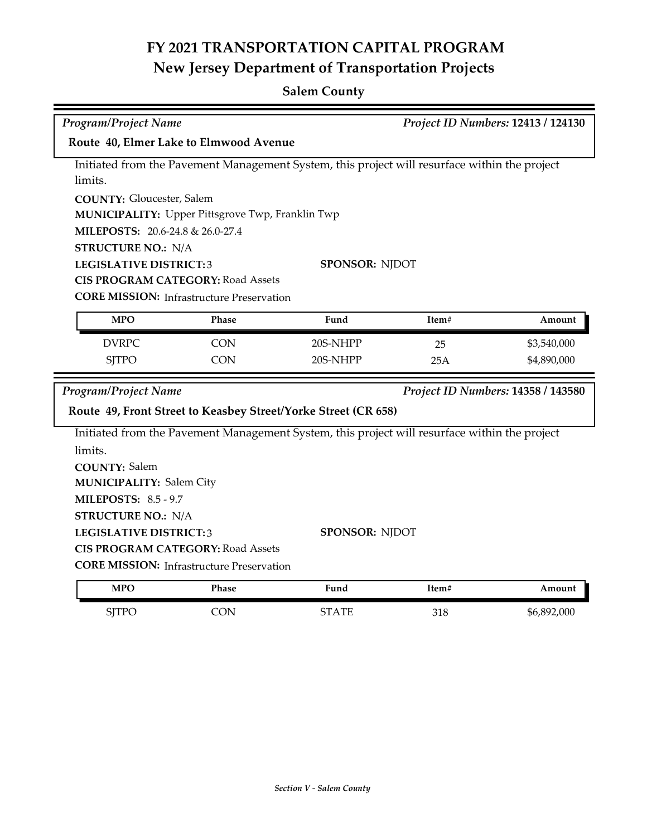## **FY 2021 TRANSPORTATION CAPITAL PROGRAM New Jersey Department of Transportation Projects**

#### **Salem County**

| <b>Program/Project Name</b>                                                                   |                                                                           | Project ID Numbers: 12413 / 124130 |       |             |  |  |  |  |
|-----------------------------------------------------------------------------------------------|---------------------------------------------------------------------------|------------------------------------|-------|-------------|--|--|--|--|
| Route 40, Elmer Lake to Elmwood Avenue                                                        |                                                                           |                                    |       |             |  |  |  |  |
| Initiated from the Pavement Management System, this project will resurface within the project |                                                                           |                                    |       |             |  |  |  |  |
| limits.                                                                                       |                                                                           |                                    |       |             |  |  |  |  |
|                                                                                               | <b>COUNTY: Gloucester, Salem</b>                                          |                                    |       |             |  |  |  |  |
| <b>MUNICIPALITY:</b> Upper Pittsgrove Twp, Franklin Twp                                       |                                                                           |                                    |       |             |  |  |  |  |
| MILEPOSTS: 20.6-24.8 & 26.0-27.4                                                              |                                                                           |                                    |       |             |  |  |  |  |
| <b>STRUCTURE NO.: N/A</b><br><b>SPONSOR: NJDOT</b>                                            |                                                                           |                                    |       |             |  |  |  |  |
|                                                                                               | <b>LEGISLATIVE DISTRICT:3</b><br><b>CIS PROGRAM CATEGORY: Road Assets</b> |                                    |       |             |  |  |  |  |
| <b>CORE MISSION: Infrastructure Preservation</b>                                              |                                                                           |                                    |       |             |  |  |  |  |
|                                                                                               |                                                                           |                                    |       |             |  |  |  |  |
| <b>MPO</b>                                                                                    | Phase                                                                     | Fund                               | Item# | Amount      |  |  |  |  |
| <b>DVRPC</b>                                                                                  | <b>CON</b>                                                                | 20S-NHPP                           | 25    | \$3,540,000 |  |  |  |  |
| <b>SJTPO</b>                                                                                  | <b>CON</b>                                                                | 20S-NHPP                           | 25A   | \$4,890,000 |  |  |  |  |
| <b>Program/Project Name</b><br>Project ID Numbers: 14358 / 143580                             |                                                                           |                                    |       |             |  |  |  |  |
| Route 49, Front Street to Keasbey Street/Yorke Street (CR 658)                                |                                                                           |                                    |       |             |  |  |  |  |
| Initiated from the Pavement Management System, this project will resurface within the project |                                                                           |                                    |       |             |  |  |  |  |
| limits.                                                                                       |                                                                           |                                    |       |             |  |  |  |  |
| <b>COUNTY: Salem</b>                                                                          |                                                                           |                                    |       |             |  |  |  |  |
| <b>MUNICIPALITY: Salem City</b>                                                               |                                                                           |                                    |       |             |  |  |  |  |
| <b>MILEPOSTS: 8.5 - 9.7</b>                                                                   |                                                                           |                                    |       |             |  |  |  |  |
| <b>STRUCTURE NO.: N/A</b>                                                                     |                                                                           |                                    |       |             |  |  |  |  |
| <b>LEGISLATIVE DISTRICT:3</b>                                                                 |                                                                           | <b>SPONSOR: NJDOT</b>              |       |             |  |  |  |  |
| <b>CIS PROGRAM CATEGORY: Road Assets</b>                                                      |                                                                           |                                    |       |             |  |  |  |  |
| <b>CORE MISSION:</b> Infrastructure Preservation                                              |                                                                           |                                    |       |             |  |  |  |  |
| <b>MPO</b>                                                                                    | Phase                                                                     | Fund                               |       |             |  |  |  |  |

SJTPO CON STATE 318 \$6,892,000